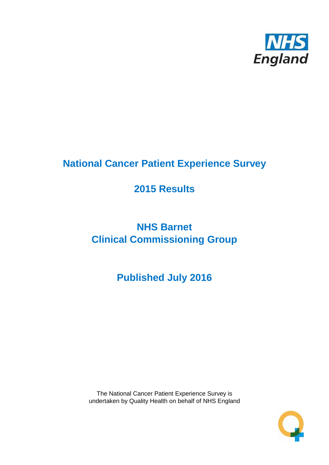

# **National Cancer Patient Experience Survey**

# **2015 Results**

# **NHS Barnet Clinical Commissioning Group**

# **Published July 2016**

The National Cancer Patient Experience Survey is undertaken by Quality Health on behalf of NHS England

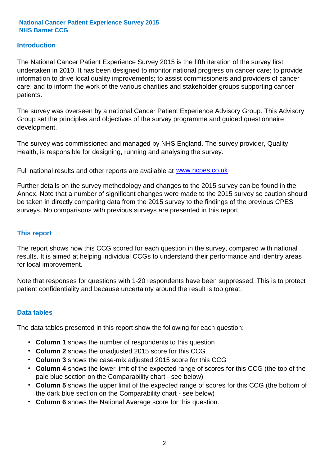### **Introduction**

The National Cancer Patient Experience Survey 2015 is the fifth iteration of the survey first undertaken in 2010. It has been designed to monitor national progress on cancer care; to provide information to drive local quality improvements; to assist commissioners and providers of cancer care; and to inform the work of the various charities and stakeholder groups supporting cancer patients.

The survey was overseen by a national Cancer Patient Experience Advisory Group. This Advisory Group set the principles and objectives of the survey programme and guided questionnaire development.

The survey was commissioned and managed by NHS England. The survey provider, Quality Health, is responsible for designing, running and analysing the survey.

Full national results and other reports are available at www.ncpes.co.uk

Further details on the survey methodology and changes to the 2015 survey can be found in the Annex. Note that a number of significant changes were made to the 2015 survey so caution should be taken in directly comparing data from the 2015 survey to the findings of the previous CPES surveys. No comparisons with previous surveys are presented in this report.

#### **This report**

The report shows how this CCG scored for each question in the survey, compared with national results. It is aimed at helping individual CCGs to understand their performance and identify areas for local improvement.

Note that responses for questions with 1-20 respondents have been suppressed. This is to protect patient confidentiality and because uncertainty around the result is too great.

#### **Data tables**

The data tables presented in this report show the following for each question:

- **Column 1** shows the number of respondents to this question
- **Column 2** shows the unadjusted 2015 score for this CCG
- **Column 3** shows the case-mix adjusted 2015 score for this CCG
- **Column 4** shows the lower limit of the expected range of scores for this CCG (the top of the pale blue section on the Comparability chart - see below)
- **Column 5** shows the upper limit of the expected range of scores for this CCG (the bottom of the dark blue section on the Comparability chart - see below)
- **Column 6** shows the National Average score for this question.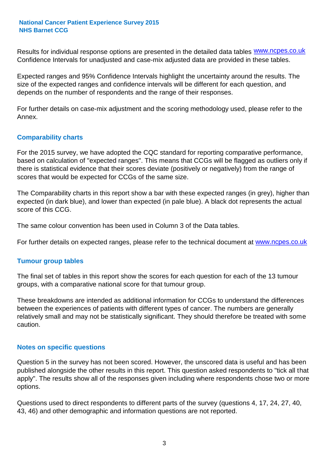Results for individual response options are presented in the detailed data tables **WWW.ncpes.co.uk** Confidence Intervals for unadjusted and case-mix adjusted data are provided in these tables.

Expected ranges and 95% Confidence Intervals highlight the uncertainty around the results. The size of the expected ranges and confidence intervals will be different for each question, and depends on the number of respondents and the range of their responses.

For further details on case-mix adjustment and the scoring methodology used, please refer to the Annex.

#### **Comparability charts**

For the 2015 survey, we have adopted the CQC standard for reporting comparative performance, based on calculation of "expected ranges". This means that CCGs will be flagged as outliers only if there is statistical evidence that their scores deviate (positively or negatively) from the range of scores that would be expected for CCGs of the same size.

The Comparability charts in this report show a bar with these expected ranges (in grey), higher than expected (in dark blue), and lower than expected (in pale blue). A black dot represents the actual score of this CCG.

The same colour convention has been used in Column 3 of the Data tables.

For further details on expected ranges, please refer to the technical document at **www.ncpes.co.uk** 

#### **Tumour group tables**

The final set of tables in this report show the scores for each question for each of the 13 tumour groups, with a comparative national score for that tumour group.

These breakdowns are intended as additional information for CCGs to understand the differences between the experiences of patients with different types of cancer. The numbers are generally relatively small and may not be statistically significant. They should therefore be treated with some caution.

#### **Notes on specific questions**

Question 5 in the survey has not been scored. However, the unscored data is useful and has been published alongside the other results in this report. This question asked respondents to "tick all that apply". The results show all of the responses given including where respondents chose two or more options.

Questions used to direct respondents to different parts of the survey (questions 4, 17, 24, 27, 40, 43, 46) and other demographic and information questions are not reported.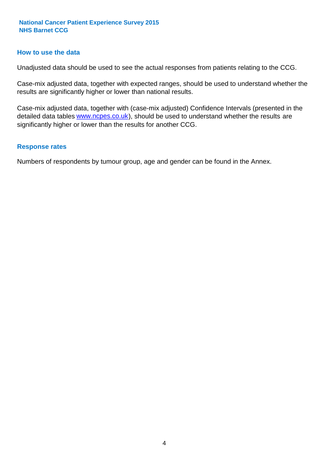#### **How to use the data**

Unadjusted data should be used to see the actual responses from patients relating to the CCG.

Case-mix adjusted data, together with expected ranges, should be used to understand whether the results are significantly higher or lower than national results.

Case-mix adjusted data, together with (case-mix adjusted) Confidence Intervals (presented in the detailed data tables **www.ncpes.co.uk**), should be used to understand whether the results are significantly higher or lower than the results for another CCG.

#### **Response rates**

Numbers of respondents by tumour group, age and gender can be found in the Annex.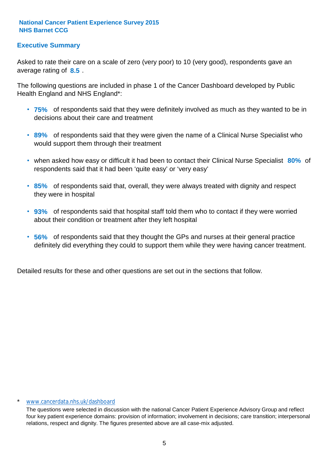## **Executive Summary**

average rating of 8.5. Asked to rate their care on a scale of zero (very poor) to 10 (very good), respondents gave an

The following questions are included in phase 1 of the Cancer Dashboard developed by Public Health England and NHS England\*:

- **75%** of respondents said that they were definitely involved as much as they wanted to be in decisions about their care and treatment
- **89%** of respondents said that they were given the name of a Clinical Nurse Specialist who would support them through their treatment
- when asked how easy or difficult it had been to contact their Clinical Nurse Specialist 80% of respondents said that it had been 'quite easy' or 'very easy'
- **85%** of respondents said that, overall, they were always treated with dignity and respect they were in hospital
- **93%** of respondents said that hospital staff told them who to contact if they were worried about their condition or treatment after they left hospital
- **56%** of respondents said that they thought the GPs and nurses at their general practice definitely did everything they could to support them while they were having cancer treatment.

Detailed results for these and other questions are set out in the sections that follow.

#### www.cancerdata.nhs.uk/dashboard

The questions were selected in discussion with the national Cancer Patient Experience Advisory Group and reflect four key patient experience domains: provision of information; involvement in decisions; care transition; interpersonal relations, respect and dignity. The figures presented above are all case-mix adjusted.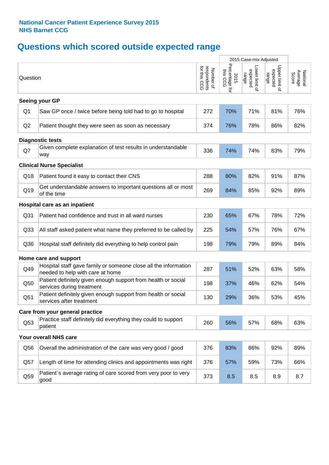# **Questions which scored outside expected range**

|                 |                                                                                                     |                                          |                                    | 2015 Case-mix Adjusted              |                                     |                              |
|-----------------|-----------------------------------------------------------------------------------------------------|------------------------------------------|------------------------------------|-------------------------------------|-------------------------------------|------------------------------|
| Question        |                                                                                                     | respondents<br>for this CCG<br>Number of | Percentage for<br>this CCG<br>2015 | Lower limit of<br>expected<br>range | Upper limit of<br>expected<br>range | National<br>Average<br>Score |
|                 | Seeing your GP                                                                                      |                                          |                                    |                                     |                                     |                              |
| Q1              | Saw GP once / twice before being told had to go to hospital                                         | 272                                      | 70%                                | 71%                                 | 81%                                 | 76%                          |
| Q <sub>2</sub>  | Patient thought they were seen as soon as necessary                                                 | 374                                      | 76%                                | 78%                                 | 86%                                 | 82%                          |
|                 | <b>Diagnostic tests</b>                                                                             |                                          |                                    |                                     |                                     |                              |
| Q7              | Given complete explanation of test results in understandable<br>way                                 | 336                                      | 74%                                | 74%                                 | 83%                                 | 79%                          |
|                 | <b>Clinical Nurse Specialist</b>                                                                    |                                          |                                    |                                     |                                     |                              |
| Q18             | Patient found it easy to contact their CNS                                                          | 288                                      | 80%                                | 82%                                 | 91%                                 | 87%                          |
| Q19             | Get understandable answers to important questions all or most<br>of the time                        | 269                                      | 84%                                | 85%                                 | 92%                                 | 89%                          |
|                 | Hospital care as an inpatient                                                                       |                                          |                                    |                                     |                                     |                              |
| Q <sub>31</sub> | Patient had confidence and trust in all ward nurses                                                 | 230                                      | 65%                                | 67%                                 | 78%                                 | 72%                          |
| Q <sub>33</sub> | All staff asked patient what name they preferred to be called by                                    | 225                                      | 54%                                | 57%                                 | 76%                                 | 67%                          |
| Q36             | Hospital staff definitely did everything to help control pain                                       | 198                                      | 79%                                | 79%                                 | 89%                                 | 84%                          |
|                 | Home care and support                                                                               |                                          |                                    |                                     |                                     |                              |
| Q49             | Hospital staff gave family or someone close all the information<br>needed to help with care at home | 287                                      | 51%                                | 52%                                 | 63%                                 | 58%                          |
| Q50             | Patient definitely given enough support from health or social<br>services during treatment          | 198                                      | 37%                                | 46%                                 | 62%                                 | 54%                          |
| Q51             | Patient definitely given enough support from health or social<br>services after treatment           | 130                                      | 29%                                | 36%                                 | 53%                                 | 45%                          |
|                 | Care from your general practice                                                                     |                                          |                                    |                                     |                                     |                              |
| Q53             | Practice staff definitely did everything they could to support<br>patient                           | 260                                      | 56%                                | 57%                                 | 68%                                 | 63%                          |
|                 | Your overall NHS care                                                                               |                                          |                                    |                                     |                                     |                              |
| Q56             | Overall the administration of the care was very good / good                                         | 376                                      | 83%                                | 86%                                 | 92%                                 | 89%                          |
| Q57             | Length of time for attending clinics and appointments was right                                     | 376                                      | 57%                                | 59%                                 | 73%                                 | 66%                          |
| Q59             | Patient's average rating of care scored from very poor to very<br>good                              | 373                                      | 8.5                                | 8.5                                 | 8.9                                 | 8.7                          |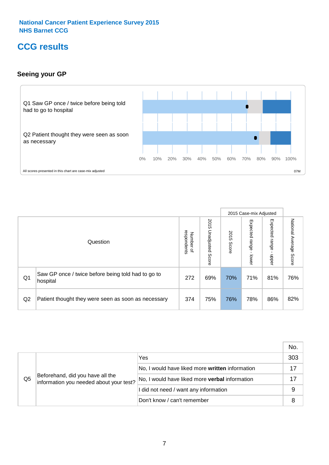# **CCG results**

## **Seeing your GP**



|    |                                                                |                                         |                             |               | 2015 Case-mix Adjusted     |                            |                        |
|----|----------------------------------------------------------------|-----------------------------------------|-----------------------------|---------------|----------------------------|----------------------------|------------------------|
|    | Question                                                       | respondents<br>Number<br>$\overline{a}$ | 2015<br>Unadjusted<br>Score | 2015<br>Score | Expected<br>range<br>lower | Expected<br>range<br>nbber | National Average Score |
| Q1 | Saw GP once / twice before being told had to go to<br>hospital | 272                                     | 69%                         | 70%           | 71%                        | 81%                        | 76%                    |
| Q2 | Patient thought they were seen as soon as necessary            | 374                                     | 75%                         | 76%           | 78%                        | 86%                        | 82%                    |

|    |                                                                             |                                                 | No. |
|----|-----------------------------------------------------------------------------|-------------------------------------------------|-----|
|    | Beforehand, did you have all the<br>information you needed about your test? | Yes                                             | 303 |
| Q5 |                                                                             | No, I would have liked more written information |     |
|    |                                                                             | No, I would have liked more verbal information  |     |
|    |                                                                             | I did not need / want any information           | 9   |
|    |                                                                             | Don't know / can't remember                     | 8   |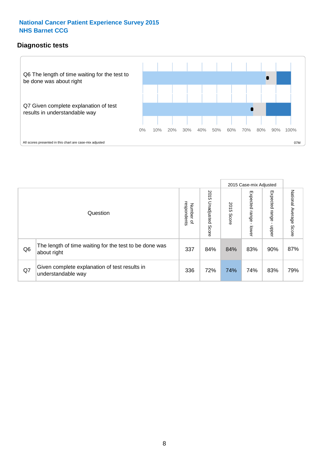### **Diagnostic tests**



|                |                                                                       |                                       |                             |               | 2015 Case-mix Adjusted  |                         |                           |
|----------------|-----------------------------------------------------------------------|---------------------------------------|-----------------------------|---------------|-------------------------|-------------------------|---------------------------|
|                | Question                                                              | respondents<br>Number<br>$\mathbf{Q}$ | 2015<br>Unadjusted<br>Score | 2015<br>Score | Expected range<br>lower | Expected range<br>nbber | National Average<br>Score |
| Q <sub>6</sub> | The length of time waiting for the test to be done was<br>about right | 337                                   | 84%                         | 84%           | 83%                     | 90%                     | 87%                       |
| Q7             | Given complete explanation of test results in<br>understandable way   | 336                                   | 72%                         | 74%           | 74%                     | 83%                     | 79%                       |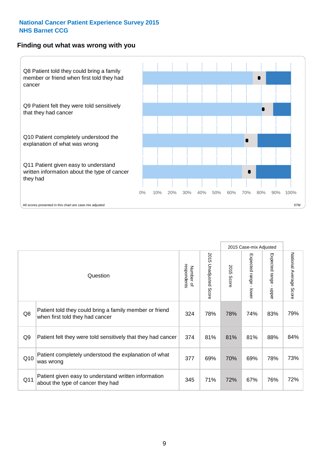#### **Finding out what was wrong with you**



|     |                                                                                            |                          |                       |                      | 2015 Case-mix Adjusted       |                           |                        |
|-----|--------------------------------------------------------------------------------------------|--------------------------|-----------------------|----------------------|------------------------------|---------------------------|------------------------|
|     | Question                                                                                   | respondents<br>Number of | 2015 Unadjusted Score | 2015<br><b>Score</b> | Expected<br>I range<br>lower | Expected range<br>- nbbeu | National Average Score |
| Q8  | Patient told they could bring a family member or friend<br>when first told they had cancer | 324                      | 78%                   | 78%                  | 74%                          | 83%                       | 79%                    |
| Q9  | Patient felt they were told sensitively that they had cancer                               | 374                      | 81%                   | 81%                  | 81%                          | 88%                       | 84%                    |
| Q10 | Patient completely understood the explanation of what<br>was wrong                         | 377                      | 69%                   | 70%                  | 69%                          | 78%                       | 73%                    |
| Q11 | Patient given easy to understand written information<br>about the type of cancer they had  | 345                      | 71%                   | 72%                  | 67%                          | 76%                       | 72%                    |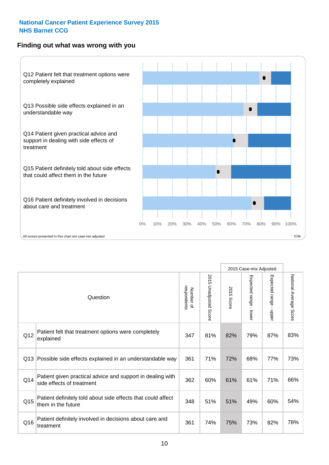## **Finding out what was wrong with you**



|                 |                                                                                         |                          |                                 |               | 2015 Case-mix Adjusted                    |                        |                        |
|-----------------|-----------------------------------------------------------------------------------------|--------------------------|---------------------------------|---------------|-------------------------------------------|------------------------|------------------------|
| Question        |                                                                                         | Number of<br>respondents | 2015<br><b>Unadjusted Score</b> | 2015<br>Score | Expected range<br>$\blacksquare$<br>lower | Expected range - upper | National Average Score |
| Q12             | Patient felt that treatment options were completely<br>explained                        | 347                      | 81%                             | 82%           | 79%                                       | 87%                    | 83%                    |
| Q13             | Possible side effects explained in an understandable way                                | 361                      | 71%                             | 72%           | 68%                                       | 77%                    | 73%                    |
| Q14             | Patient given practical advice and support in dealing with<br>side effects of treatment | 362                      | 60%                             | 61%           | 61%                                       | 71%                    | 66%                    |
| Q <sub>15</sub> | Patient definitely told about side effects that could affect<br>them in the future      | 348                      | 51%                             | 51%           | 49%                                       | 60%                    | 54%                    |
| Q16             | Patient definitely involved in decisions about care and<br>treatment                    | 361                      | 74%                             | 75%           | 73%                                       | 82%                    | 78%                    |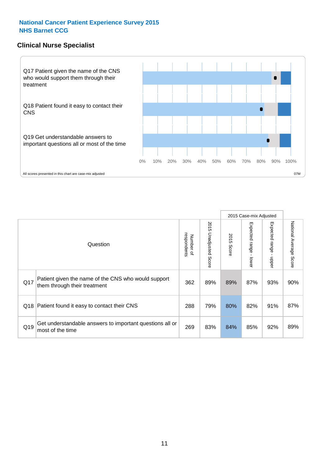#### **Clinical Nurse Specialist**



|     |                                                                                     |                          |                       |               | 2015 Case-mix Adjusted  |                         |                           |
|-----|-------------------------------------------------------------------------------------|--------------------------|-----------------------|---------------|-------------------------|-------------------------|---------------------------|
|     | Question                                                                            | respondents<br>Number of | 2015 Unadjusted Score | 2015<br>Score | Expected range<br>lower | Expected range<br>nbber | National Average<br>Score |
| Q17 | Patient given the name of the CNS who would support<br>them through their treatment | 362                      | 89%                   | 89%           | 87%                     | 93%                     | 90%                       |
| Q18 | Patient found it easy to contact their CNS                                          | 288                      | 79%                   | 80%           | 82%                     | 91%                     | 87%                       |
| Q19 | Get understandable answers to important questions all or<br>most of the time        | 269                      | 83%                   | 84%           | 85%                     | 92%                     | 89%                       |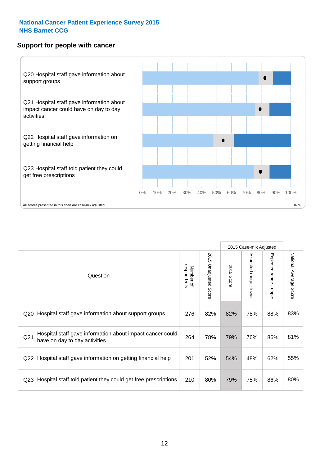#### **Support for people with cancer**



|                 |                                                                                            |                          |                             |               | 2015 Case-mix Adjusted                  |                                           |                        |
|-----------------|--------------------------------------------------------------------------------------------|--------------------------|-----------------------------|---------------|-----------------------------------------|-------------------------------------------|------------------------|
|                 | Question                                                                                   | respondents<br>Number of | 2015<br>Unadjusted<br>Score | 2015<br>Score | Expected range<br>$\mathbf{I}$<br>lower | Expected range<br>$\blacksquare$<br>nbber | National Average Score |
| Q20             | Hospital staff gave information about support groups                                       | 276                      | 82%                         | 82%           | 78%                                     | 88%                                       | 83%                    |
| Q <sub>21</sub> | Hospital staff gave information about impact cancer could<br>have on day to day activities | 264                      | 78%                         | 79%           | 76%                                     | 86%                                       | 81%                    |
| Q22             | Hospital staff gave information on getting financial help                                  | 201                      | 52%                         | 54%           | 48%                                     | 62%                                       | 55%                    |
| Q <sub>23</sub> | Hospital staff told patient they could get free prescriptions                              | 210                      | 80%                         | 79%           | 75%                                     | 86%                                       | 80%                    |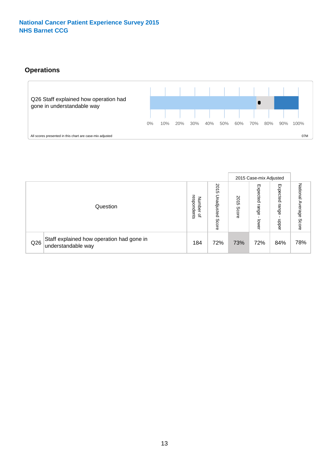# **Operations**



|     |                                                                 |                                         |                             |               | 2015 Case-mix Adjusted     |                           |                              |
|-----|-----------------------------------------------------------------|-----------------------------------------|-----------------------------|---------------|----------------------------|---------------------------|------------------------------|
|     | Question                                                        | respondents<br>Number<br>$\overline{a}$ | 2015<br>Unadjusted<br>Score | 2015<br>Score | Expected<br>range<br>lower | Expected<br>range<br>ddoe | National<br>Average<br>Score |
| Q26 | Staff explained how operation had gone in<br>understandable way | 184                                     | 72%                         | 73%           | 72%                        | 84%                       | 78%                          |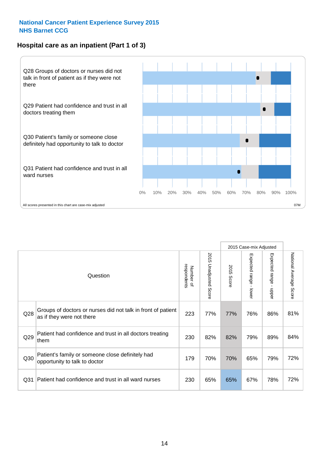## **Hospital care as an inpatient (Part 1 of 3)**



All scores presented in this chart are case-mix adjusted  $07M$ 

|                 |                                                                                           |                          |                                 |                      | 2015 Case-mix Adjusted                    |                                         |                        |
|-----------------|-------------------------------------------------------------------------------------------|--------------------------|---------------------------------|----------------------|-------------------------------------------|-----------------------------------------|------------------------|
|                 | Question                                                                                  | respondents<br>Number of | 2015<br><b>Unadjusted Score</b> | 2015<br><b>Score</b> | Expected range<br>$\blacksquare$<br>lower | Expected range<br>$\mathbf{I}$<br>nbber | National Average Score |
| Q28             | Groups of doctors or nurses did not talk in front of patient<br>as if they were not there | 223                      | 77%                             | 77%                  | 76%                                       | 86%                                     | 81%                    |
| Q29             | Patient had confidence and trust in all doctors treating<br>them                          | 230                      | 82%                             | 82%                  | 79%                                       | 89%                                     | 84%                    |
| Q30             | Patient's family or someone close definitely had<br>opportunity to talk to doctor         | 179                      | 70%                             | 70%                  | 65%                                       | 79%                                     | 72%                    |
| Q <sub>31</sub> | Patient had confidence and trust in all ward nurses                                       | 230                      | 65%                             | 65%                  | 67%                                       | 78%                                     | 72%                    |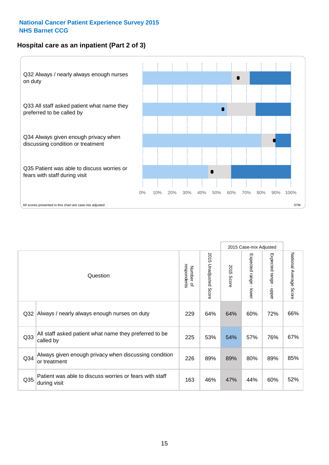## **Hospital care as an inpatient (Part 2 of 3)**



|                 |                                                                         |                          |                          |               | 2015 Case-mix Adjusted |                           |                           |
|-----------------|-------------------------------------------------------------------------|--------------------------|--------------------------|---------------|------------------------|---------------------------|---------------------------|
|                 | Question                                                                | respondents<br>Number of | 2015 Unadjusted<br>Score | 2015<br>Score | Expected range - lower | Expected range<br>- nbbel | National Average<br>Score |
| Q32             | Always / nearly always enough nurses on duty                            | 229                      | 64%                      | 64%           | 60%                    | 72%                       | 66%                       |
| Q <sub>33</sub> | All staff asked patient what name they preferred to be<br>called by     | 225                      | 53%                      | 54%           | 57%                    | 76%                       | 67%                       |
| Q <sub>34</sub> | Always given enough privacy when discussing condition<br>or treatment   | 226                      | 89%                      | 89%           | 80%                    | 89%                       | 85%                       |
| Q35             | Patient was able to discuss worries or fears with staff<br>during visit | 163                      | 46%                      | 47%           | 44%                    | 60%                       | 52%                       |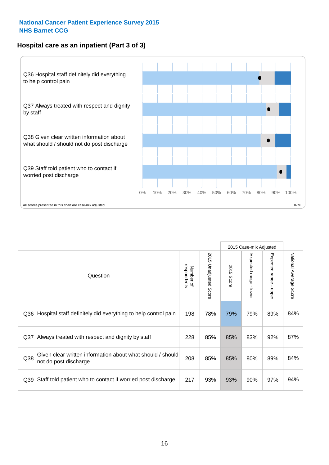### **Hospital care as an inpatient (Part 3 of 3)**



|                 |                                                                                     |                          |                                 |               | 2015 Case-mix Adjusted                    |                           |                        |
|-----------------|-------------------------------------------------------------------------------------|--------------------------|---------------------------------|---------------|-------------------------------------------|---------------------------|------------------------|
|                 | Question                                                                            | Number of<br>respondents | 2015<br><b>Unadjusted Score</b> | 2015<br>Score | Expected range<br>$\blacksquare$<br>lower | Expected range -<br>nbber | National Average Score |
| Q36             | Hospital staff definitely did everything to help control pain                       | 198                      | 78%                             | 79%           | 79%                                       | 89%                       | 84%                    |
| Q <sub>37</sub> | Always treated with respect and dignity by staff                                    | 228                      | 85%                             | 85%           | 83%                                       | 92%                       | 87%                    |
| Q38             | Given clear written information about what should / should<br>not do post discharge | 208                      | 85%                             | 85%           | 80%                                       | 89%                       | 84%                    |
| Q39             | Staff told patient who to contact if worried post discharge                         | 217                      | 93%                             | 93%           | 90%                                       | 97%                       | 94%                    |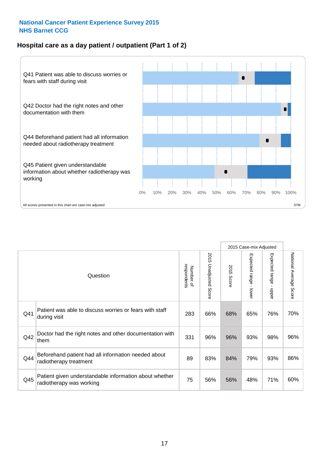## **Hospital care as a day patient / outpatient (Part 1 of 2)**



|     |                                                                                    |                          |                          | 2015 Case-mix Adjusted |                                         |                                         |                        |
|-----|------------------------------------------------------------------------------------|--------------------------|--------------------------|------------------------|-----------------------------------------|-----------------------------------------|------------------------|
|     | Question                                                                           | respondents<br>Number of | 2015<br>Unadjusted Score | 2015<br><b>Score</b>   | Expected range<br>$\mathbf{I}$<br>lower | Expected range<br>$\blacksquare$<br>ddo | National Average Score |
| Q41 | Patient was able to discuss worries or fears with staff<br>during visit            | 283                      | 66%                      | 68%                    | 65%                                     | 76%                                     | 70%                    |
| Q42 | Doctor had the right notes and other documentation with<br>them                    | 331                      | 96%                      | 96%                    | 93%                                     | 98%                                     | 96%                    |
| Q44 | Beforehand patient had all information needed about<br>radiotherapy treatment      | 89                       | 83%                      | 84%                    | 79%                                     | 93%                                     | 86%                    |
| Q45 | Patient given understandable information about whether<br>radiotherapy was working | 75                       | 56%                      | 56%                    | 48%                                     | 71%                                     | 60%                    |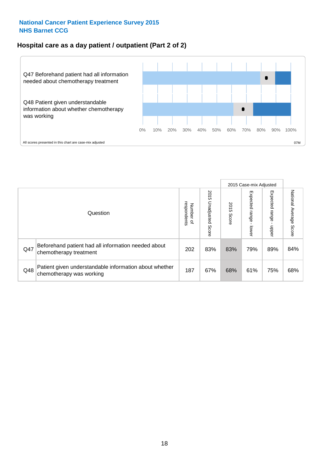### **Hospital care as a day patient / outpatient (Part 2 of 2)**



|     |                                                                                    |                                   |                             | 2015 Case-mix Adjusted |                         |                          |                           |
|-----|------------------------------------------------------------------------------------|-----------------------------------|-----------------------------|------------------------|-------------------------|--------------------------|---------------------------|
|     | Question                                                                           | respondents<br>Number<br>$\Omega$ | 2015<br>Unadjusted<br>Score | 2015<br>Score          | Expected range<br>lower | Expected<br>range<br>dda | National Average<br>Score |
| Q47 | Beforehand patient had all information needed about<br>chemotherapy treatment      | 202                               | 83%                         | 83%                    | 79%                     | 89%                      | 84%                       |
| Q48 | Patient given understandable information about whether<br>chemotherapy was working | 187                               | 67%                         | 68%                    | 61%                     | 75%                      | 68%                       |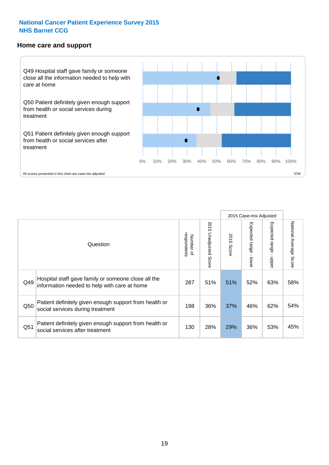#### **Home care and support**



|     |                                                                                                     |                          |                          | 2015 Case-mix Adjusted |                             |                         |                        |
|-----|-----------------------------------------------------------------------------------------------------|--------------------------|--------------------------|------------------------|-----------------------------|-------------------------|------------------------|
|     | Question                                                                                            | respondents<br>Number of | 2015<br>Unadjusted Score | 2015<br>Score          | Expected<br> range<br>lower | Expected range<br>nbber | National Average Score |
| Q49 | Hospital staff gave family or someone close all the<br>information needed to help with care at home | 287                      | 51%                      | 51%                    | 52%                         | 63%                     | 58%                    |
| Q50 | Patient definitely given enough support from health or<br>social services during treatment          | 198                      | 36%                      | 37%                    | 46%                         | 62%                     | 54%                    |
| Q51 | Patient definitely given enough support from health or<br>social services after treatment           | 130                      | 28%                      | 29%                    | 36%                         | 53%                     | 45%                    |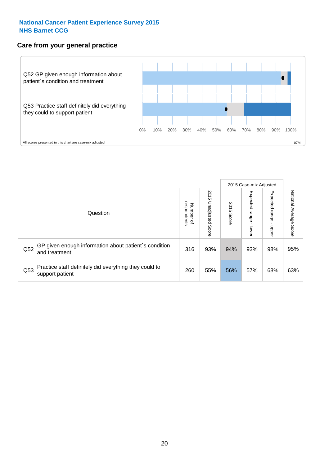#### **Care from your general practice**



|     |                                                                           |                                   |                             | 2015 Case-mix Adjusted |                                   |                            |                           |
|-----|---------------------------------------------------------------------------|-----------------------------------|-----------------------------|------------------------|-----------------------------------|----------------------------|---------------------------|
|     | Question                                                                  | respondents<br>Number<br>$\Omega$ | 2015<br>Unadjusted<br>Score | 2015<br>Score          | Expected<br><b>Lange</b><br>lower | Expected<br>range<br>nbber | National Average<br>Score |
| Q52 | GP given enough information about patient's condition<br>and treatment    | 316                               | 93%                         | 94%                    | 93%                               | 98%                        | 95%                       |
| Q53 | Practice staff definitely did everything they could to<br>support patient | 260                               | 55%                         | 56%                    | 57%                               | 68%                        | 63%                       |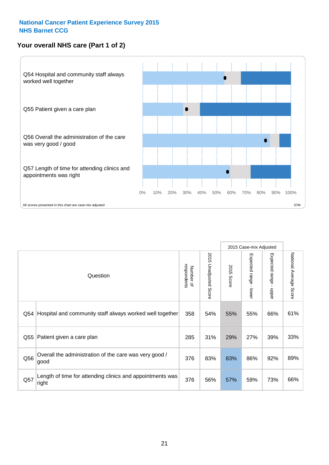## **Your overall NHS care (Part 1 of 2)**



|     |                                                                    |                          |                          | 2015 Case-mix Adjusted |                                           |                                           |                        |
|-----|--------------------------------------------------------------------|--------------------------|--------------------------|------------------------|-------------------------------------------|-------------------------------------------|------------------------|
|     | Question                                                           | respondents<br>Number of | 2015<br>Unadjusted Score | 2015<br>Score          | Expected range<br>$\blacksquare$<br>lower | Expected range<br>$\blacksquare$<br>nbber | National Average Score |
| Q54 | Hospital and community staff always worked well together           | 358                      | 54%                      | 55%                    | 55%                                       | 66%                                       | 61%                    |
| Q55 | Patient given a care plan                                          | 285                      | 31%                      | 29%                    | 27%                                       | 39%                                       | 33%                    |
| Q56 | Overall the administration of the care was very good /<br>good     | 376                      | 83%                      | 83%                    | 86%                                       | 92%                                       | 89%                    |
| Q57 | Length of time for attending clinics and appointments was<br>right | 376                      | 56%                      | 57%                    | 59%                                       | 73%                                       | 66%                    |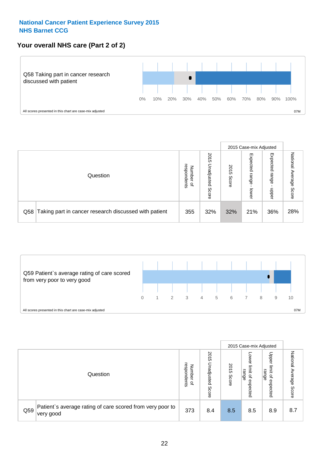## **Your overall NHS care (Part 2 of 2)**



|     |                                                       |                                   |                             |               |                            | 2015 Case-mix Adjusted     |                        |
|-----|-------------------------------------------------------|-----------------------------------|-----------------------------|---------------|----------------------------|----------------------------|------------------------|
|     | Question                                              | respondents<br>Number<br>$\Omega$ | 2015<br>Unadjusted<br>Score | 2015<br>Score | Expected<br>range<br>lower | Expected<br>range<br>nbber | National Average Score |
| Q58 | Taking part in cancer research discussed with patient | 355                               | 32%                         | 32%           | 21%                        | 36%                        | 28%                    |



|     |                                                                        |                                              |                             |               | 2015 Case-mix Adjusted                  |                                                       |                              |
|-----|------------------------------------------------------------------------|----------------------------------------------|-----------------------------|---------------|-----------------------------------------|-------------------------------------------------------|------------------------------|
|     | Question                                                               | respondents<br>Number<br>$\overline{\sigma}$ | 2015<br>Jnadjusted<br>Score | 2015<br>Score | OWer<br>limit<br>range<br>٩<br>expected | Upper<br>limit<br>range<br>$\overline{a}$<br>expected | National<br>Average<br>Score |
| Q59 | Patient's average rating of care scored from very poor to<br>very good | 373                                          | 8.4                         | 8.5           | 8.5                                     | 8.9                                                   | 8.7                          |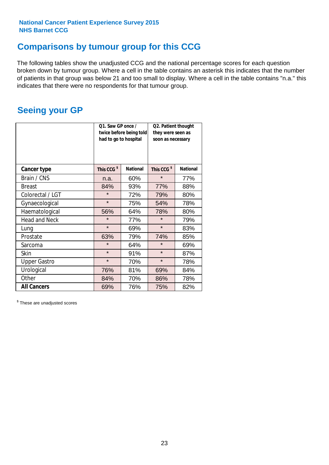# **Comparisons by tumour group for this CCG**

The following tables show the unadjusted CCG and the national percentage scores for each question broken down by tumour group. Where a cell in the table contains an asterisk this indicates that the number of patients in that group was below 21 and too small to display. Where a cell in the table contains "n.a." this indicates that there were no respondents for that tumour group.

# **Seeing your GP**

|                      | Q1. Saw GP once /<br>had to go to hospital | twice before being told | Q2. Patient thought<br>they were seen as<br>soon as necessary |                 |  |
|----------------------|--------------------------------------------|-------------------------|---------------------------------------------------------------|-----------------|--|
| <b>Cancer type</b>   | This CCG <sup>\$</sup>                     | <b>National</b>         | This CCG <sup>\$</sup>                                        | <b>National</b> |  |
| Brain / CNS          | n.a.                                       | 60%                     | $\star$                                                       | 77%             |  |
| <b>Breast</b>        | 84%                                        | 93%                     | 77%                                                           | 88%             |  |
| Colorectal / LGT     | $\star$                                    | 72%                     | 79%                                                           | 80%             |  |
| Gynaecological       | $\star$                                    | 75%                     | 54%                                                           | 78%             |  |
| Haematological       | 56%                                        | 64%                     | 78%                                                           | 80%             |  |
| <b>Head and Neck</b> | $\star$                                    | 77%                     | $\star$                                                       | 79%             |  |
| Lung                 | $\star$                                    | 69%                     | $\star$                                                       | 83%             |  |
| Prostate             | 63%                                        | 79%                     | 74%                                                           | 85%             |  |
| Sarcoma              | $\star$                                    | 64%                     | $\star$                                                       | 69%             |  |
| <b>Skin</b>          | $\star$                                    | 91%                     | $\star$                                                       | 87%             |  |
| <b>Upper Gastro</b>  | $\star$                                    | 70%                     | $\star$                                                       | 78%             |  |
| Urological           | 76%                                        | 81%                     | 69%                                                           | 84%             |  |
| Other                | 84%                                        | 70%                     | 86%                                                           | 78%             |  |
| <b>All Cancers</b>   | 69%                                        | 76%                     | 75%                                                           | 82%             |  |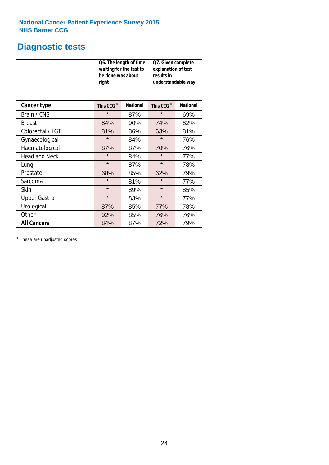# **Diagnostic tests**

|                      | be done was about<br>right | Q6. The length of time<br>waiting for the test to | Q7. Given complete<br>explanation of test<br>results in<br>understandable way |                 |  |
|----------------------|----------------------------|---------------------------------------------------|-------------------------------------------------------------------------------|-----------------|--|
| <b>Cancer type</b>   | This CCG <sup>\$</sup>     | <b>National</b>                                   | This CCG <sup>\$</sup>                                                        | <b>National</b> |  |
| Brain / CNS          | $\star$                    | 87%                                               | $\star$                                                                       | 69%             |  |
| Breast               | 84%                        | 90%                                               | 74%                                                                           | 82%             |  |
| Colorectal / LGT     | 81%                        | 86%                                               | 63%                                                                           | 81%             |  |
| Gynaecological       | $\star$                    | 84%                                               | $\star$                                                                       | 76%             |  |
| Haematological       | 87%                        | 87%                                               | 70%                                                                           | 76%             |  |
| <b>Head and Neck</b> | $\star$                    | 84%                                               | $\star$                                                                       | 77%             |  |
| Lung                 | $\star$                    | 87%                                               | $\star$                                                                       | 78%             |  |
| Prostate             | 68%                        | 85%                                               | 62%                                                                           | 79%             |  |
| Sarcoma              | $\star$                    | 81%                                               | $\star$                                                                       | 77%             |  |
| Skin                 | $\star$                    | 89%                                               | $\star$                                                                       | 85%             |  |
| <b>Upper Gastro</b>  | $\star$                    | 83%                                               | $\star$                                                                       | 77%             |  |
| Urological           | 87%                        | 85%                                               | 77%                                                                           | 78%             |  |
| Other                | 92%                        | 85%                                               | 76%                                                                           | 76%             |  |
| <b>All Cancers</b>   | 84%                        | 87%                                               | 72%                                                                           | 79%             |  |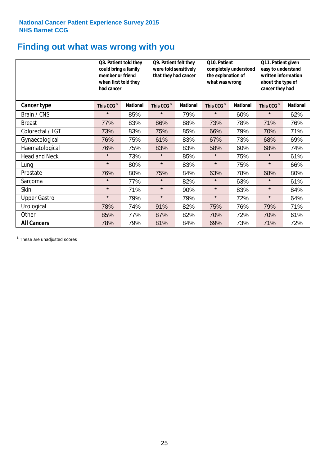# **Finding out what was wrong with you**

|                      | Q8. Patient told they<br>could bring a family<br>member or friend<br>when first told they<br>had cancer |                 | Q9. Patient felt they<br>were told sensitively<br>that they had cancer |                 | Q10. Patient<br>completely understood<br>the explanation of<br>what was wrong |                 | Q11. Patient given<br>easy to understand<br>written information<br>about the type of<br>cancer they had |                 |
|----------------------|---------------------------------------------------------------------------------------------------------|-----------------|------------------------------------------------------------------------|-----------------|-------------------------------------------------------------------------------|-----------------|---------------------------------------------------------------------------------------------------------|-----------------|
| <b>Cancer type</b>   | This CCG <sup>\$</sup>                                                                                  | <b>National</b> | This CCG <sup>\$</sup>                                                 | <b>National</b> | This CCG <sup>\$</sup>                                                        | <b>National</b> | This CCG <sup>\$</sup>                                                                                  | <b>National</b> |
| Brain / CNS          | $\star$                                                                                                 | 85%             | $\star$                                                                | 79%             | $\star$                                                                       | 60%             | $\star$                                                                                                 | 62%             |
| <b>Breast</b>        | 77%                                                                                                     | 83%             | 86%                                                                    | 88%             | 73%                                                                           | 78%             | 71%                                                                                                     | 76%             |
| Colorectal / LGT     | 73%                                                                                                     | 83%             | 75%                                                                    | 85%             | 66%                                                                           | 79%             | 70%                                                                                                     | 71%             |
| Gynaecological       | 76%                                                                                                     | 75%             | 61%                                                                    | 83%             | 67%                                                                           | 73%             | 68%                                                                                                     | 69%             |
| Haematological       | 76%                                                                                                     | 75%             | 83%                                                                    | 83%             | 58%                                                                           | 60%             | 68%                                                                                                     | 74%             |
| <b>Head and Neck</b> | $\star$                                                                                                 | 73%             | $\star$                                                                | 85%             | $\star$                                                                       | 75%             | $\star$                                                                                                 | 61%             |
| Lung                 | $\star$                                                                                                 | 80%             | $\star$                                                                | 83%             | $\star$                                                                       | 75%             | $\star$                                                                                                 | 66%             |
| Prostate             | 76%                                                                                                     | 80%             | 75%                                                                    | 84%             | 63%                                                                           | 78%             | 68%                                                                                                     | 80%             |
| Sarcoma              | $\star$                                                                                                 | 77%             | $\star$                                                                | 82%             | $\star$                                                                       | 63%             | $\star$                                                                                                 | 61%             |
| Skin                 | $\star$                                                                                                 | 71%             | $\star$                                                                | 90%             | $\star$                                                                       | 83%             | $\star$                                                                                                 | 84%             |
| <b>Upper Gastro</b>  | $\star$                                                                                                 | 79%             | $\star$                                                                | 79%             | $\star$                                                                       | 72%             | $\star$                                                                                                 | 64%             |
| Urological           | 78%                                                                                                     | 74%             | 91%                                                                    | 82%             | 75%                                                                           | 76%             | 79%                                                                                                     | 71%             |
| Other                | 85%                                                                                                     | 77%             | 87%                                                                    | 82%             | 70%                                                                           | 72%             | 70%                                                                                                     | 61%             |
| <b>All Cancers</b>   | 78%                                                                                                     | 79%             | 81%                                                                    | 84%             | 69%                                                                           | 73%             | 71%                                                                                                     | 72%             |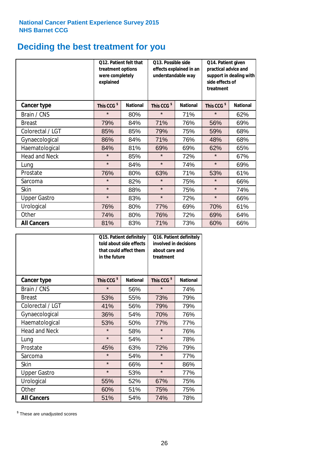# **Deciding the best treatment for you**

|                      | treatment options<br>were completely<br>explained | 012. Patient felt that | O13. Possible side<br>understandable way | effects explained in an | Q14. Patient given<br>practical advice and<br>support in dealing with<br>side effects of<br>treatment |                 |  |
|----------------------|---------------------------------------------------|------------------------|------------------------------------------|-------------------------|-------------------------------------------------------------------------------------------------------|-----------------|--|
| <b>Cancer type</b>   | This CCG <sup>\$</sup>                            | <b>National</b>        | This CCG <sup>\$</sup>                   | <b>National</b>         | This CCG <sup>\$</sup>                                                                                | <b>National</b> |  |
| Brain / CNS          | $\star$                                           | 80%                    | $\star$                                  | 71%                     | $\star$                                                                                               | 62%             |  |
| <b>Breast</b>        | 79%                                               | 84%                    | 71%                                      | 76%                     | 56%                                                                                                   | 69%             |  |
| Colorectal / LGT     | 85%                                               | 85%                    | 79%                                      | 75%                     | 59%                                                                                                   | 68%             |  |
| Gynaecological       | 86%                                               | 84%                    | 71%                                      | 76%                     | 48%                                                                                                   | 68%             |  |
| Haematological       | 84%                                               | 81%                    | 69%                                      | 69%                     | 62%                                                                                                   | 65%             |  |
| <b>Head and Neck</b> | $\star$                                           | 85%                    | $\star$                                  | 72%                     | $\star$                                                                                               | 67%             |  |
| Lung                 | $\star$                                           | 84%                    | $\star$                                  | 74%                     | $\star$                                                                                               | 69%             |  |
| Prostate             | 76%                                               | 80%                    | 63%                                      | 71%                     | 53%                                                                                                   | 61%             |  |
| Sarcoma              | $\star$                                           | 82%                    | $\star$                                  | 75%                     | $\star$                                                                                               | 66%             |  |
| Skin                 | $\star$                                           | 88%                    | $\star$                                  | 75%                     | $\star$                                                                                               | 74%             |  |
| <b>Upper Gastro</b>  | $\star$                                           | 83%                    | $\star$                                  | 72%                     | $\star$                                                                                               | 66%             |  |
| Urological           | 76%                                               | 80%                    | 77%                                      | 69%                     | 70%                                                                                                   | 61%             |  |
| Other                | 74%                                               | 80%                    | 76%                                      | 72%                     | 69%                                                                                                   | 64%             |  |
| <b>All Cancers</b>   | 81%                                               | 83%                    | 71%                                      | 73%                     | 60%                                                                                                   | 66%             |  |

|                      | in the future          | Q15. Patient definitely<br>told about side effects<br>that could affect them | Q16. Patient definitely<br>involved in decisions<br>about care and<br>treatment |                 |  |
|----------------------|------------------------|------------------------------------------------------------------------------|---------------------------------------------------------------------------------|-----------------|--|
| <b>Cancer type</b>   | This CCG <sup>\$</sup> | <b>National</b>                                                              | This CCG <sup>\$</sup>                                                          | <b>National</b> |  |
| Brain / CNS          | $\star$                | 56%                                                                          | $\star$                                                                         | 74%             |  |
| <b>Breast</b>        | 53%                    | 55%                                                                          | 73%                                                                             | 79%             |  |
| Colorectal / LGT     | 41%                    | 56%                                                                          | 79%                                                                             | 79%             |  |
| Gynaecological       | 36%                    | 54%                                                                          |                                                                                 | 76%             |  |
| Haematological       | 53%<br>50%             |                                                                              | 77%                                                                             | 77%             |  |
| <b>Head and Neck</b> | $\star$                | 58%                                                                          | $\star$                                                                         | 76%             |  |
| Lung                 | $\star$                | 54%                                                                          | $\star$                                                                         | 78%             |  |
| Prostate             | 45%                    | 63%                                                                          | 72%                                                                             | 79%             |  |
| Sarcoma              | $\star$                | 54%                                                                          | $\star$                                                                         | 77%             |  |
| Skin                 | $\star$                | 66%                                                                          | $\star$                                                                         | 86%             |  |
| <b>Upper Gastro</b>  | $\star$                | 53%                                                                          | $\star$                                                                         | 77%             |  |
| Urological           | 55%                    | 52%                                                                          | 67%                                                                             | 75%             |  |
| Other                | 60%                    | 51%                                                                          | 75%                                                                             | 75%             |  |
| <b>All Cancers</b>   | 51%                    | 54%                                                                          | 74%                                                                             | 78%             |  |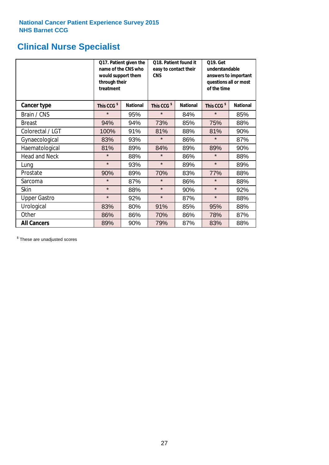# **Clinical Nurse Specialist**

|                      | would support them<br>through their<br>treatment | Q17. Patient given the<br>name of the CNS who | Q18. Patient found it<br>easy to contact their<br><b>CNS</b> |                 | <b>Q19. Get</b><br>understandable<br>answers to important<br>questions all or most<br>of the time |                 |
|----------------------|--------------------------------------------------|-----------------------------------------------|--------------------------------------------------------------|-----------------|---------------------------------------------------------------------------------------------------|-----------------|
| <b>Cancer type</b>   | This CCG <sup>\$</sup>                           | <b>National</b>                               | This CCG <sup>\$</sup>                                       | <b>National</b> | This CCG <sup>\$</sup>                                                                            | <b>National</b> |
| Brain / CNS          | $\star$                                          | 95%                                           | $\star$                                                      | 84%             | $\star$                                                                                           | 85%             |
| <b>Breast</b>        | 94%                                              | 94%                                           | 73%                                                          | 85%             | 75%                                                                                               | 88%             |
| Colorectal / LGT     | 100%                                             | 91%                                           | 81%                                                          | 88%             | 81%                                                                                               | 90%             |
| Gynaecological       | 83%                                              | 93%                                           | $\star$                                                      | 86%             | $\star$                                                                                           | 87%             |
| Haematological       | 81%                                              | 89%                                           | 84%<br>89%                                                   |                 | 89%                                                                                               | 90%             |
| <b>Head and Neck</b> | $\star$                                          | 88%                                           | $\star$                                                      | 86%             | $\star$                                                                                           | 88%             |
| Lung                 | $\star$                                          | 93%                                           | $\star$                                                      | 89%             | $\star$                                                                                           | 89%             |
| Prostate             | 90%                                              | 89%                                           | 70%                                                          | 83%             | 77%                                                                                               | 88%             |
| Sarcoma              | $\star$                                          | 87%                                           | $\star$                                                      | 86%             | $\star$                                                                                           | 88%             |
| Skin                 | $\star$                                          | 88%                                           | $\star$                                                      | 90%             | $\star$                                                                                           | 92%             |
| <b>Upper Gastro</b>  | $\star$                                          | 92%                                           | $\star$                                                      | 87%             | $\star$                                                                                           | 88%             |
| Urological           | 83%                                              | 80%                                           | 91%                                                          | 85%             | 95%                                                                                               | 88%             |
| Other                | 86%                                              | 86%                                           | 70%                                                          | 86%             | 78%                                                                                               | 87%             |
| <b>All Cancers</b>   | 89%                                              | 90%                                           | 79%                                                          | 87%             | 83%                                                                                               | 88%             |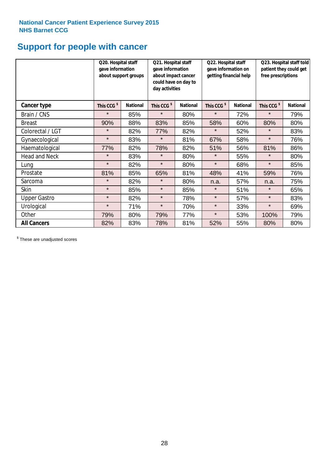# **Support for people with cancer**

|                      | Q20. Hospital staff<br>gave information | about support groups | Q21. Hospital staff<br>gave information<br>about impact cancer<br>could have on day to<br>day activities |                 | Q22. Hospital staff<br>gave information on<br>getting financial help |                 | Q23. Hospital staff told<br>patient they could get<br>free prescriptions |                 |
|----------------------|-----------------------------------------|----------------------|----------------------------------------------------------------------------------------------------------|-----------------|----------------------------------------------------------------------|-----------------|--------------------------------------------------------------------------|-----------------|
| <b>Cancer type</b>   | This CCG <sup>\$</sup>                  | <b>National</b>      | This CCG <sup>\$</sup>                                                                                   | <b>National</b> | This CCG <sup>\$</sup>                                               | <b>National</b> | This CCG <sup>\$</sup>                                                   | <b>National</b> |
| Brain / CNS          | $\star$                                 | 85%                  | $\star$                                                                                                  | 80%             | $\star$                                                              | 72%             | $\star$                                                                  | 79%             |
| <b>Breast</b>        | 90%                                     | 88%                  | 83%                                                                                                      | 85%             | 58%                                                                  | 60%             | 80%                                                                      | 80%             |
| Colorectal / LGT     | $\star$                                 | 82%                  | 77%                                                                                                      | 82%             | $\star$                                                              | 52%             | $\star$                                                                  | 83%             |
| Gynaecological       | $\star$                                 | 83%                  | $\star$                                                                                                  | 81%             | 67%                                                                  | 58%             | $\star$                                                                  | 76%             |
| Haematological       | 77%                                     | 82%                  | 78%                                                                                                      | 82%             | 51%                                                                  | 56%             | 81%                                                                      | 86%             |
| <b>Head and Neck</b> | $\star$                                 | 83%                  | $\star$                                                                                                  | 80%             | $\star$                                                              | 55%             | $\star$                                                                  | 80%             |
| Lung                 | $\star$                                 | 82%                  | $\star$                                                                                                  | 80%             | $\star$                                                              | 68%             | $\star$                                                                  | 85%             |
| Prostate             | 81%                                     | 85%                  | 65%                                                                                                      | 81%             | 48%                                                                  | 41%             | 59%                                                                      | 76%             |
| Sarcoma              | $\star$                                 | 82%                  | $\star$                                                                                                  | 80%             | n.a.                                                                 | 57%             | n.a.                                                                     | 75%             |
| Skin                 | $\star$                                 | 85%                  | $\star$                                                                                                  | 85%             | $\star$                                                              | 51%             | $\star$                                                                  | 65%             |
| <b>Upper Gastro</b>  | $\star$                                 | 82%                  | $\star$                                                                                                  | 78%             | $\star$                                                              | 57%             | $\star$                                                                  | 83%             |
| Urological           | $\star$                                 | 71%                  | $\star$                                                                                                  | 70%             | $\star$                                                              | 33%             | $\star$                                                                  | 69%             |
| Other                | 79%                                     | 80%                  | 79%                                                                                                      | 77%             | $\star$                                                              | 53%             | 100%                                                                     | 79%             |
| <b>All Cancers</b>   | 82%                                     | 83%                  | 78%                                                                                                      | 81%             | 52%                                                                  | 55%             | 80%                                                                      | 80%             |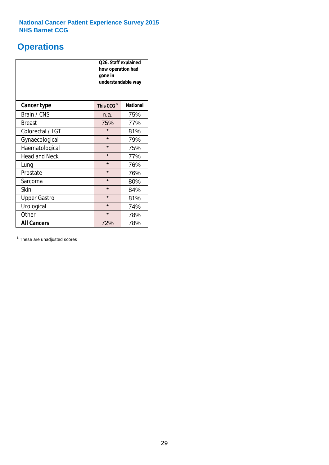# **Operations**

|                      | Q26. Staff explained<br>how operation had<br>gone in<br>understandable way |                 |  |  |  |
|----------------------|----------------------------------------------------------------------------|-----------------|--|--|--|
| <b>Cancer type</b>   | This CCG <sup>\$</sup>                                                     | <b>National</b> |  |  |  |
| Brain / CNS          | n.a.                                                                       | 75%             |  |  |  |
| <b>Breast</b>        | 75%                                                                        | 77%             |  |  |  |
| Colorectal / LGT     | $\star$                                                                    | 81%             |  |  |  |
| Gynaecological       | $\star$<br>79%                                                             |                 |  |  |  |
| Haematological       | $\star$<br>75%                                                             |                 |  |  |  |
| <b>Head and Neck</b> | $\star$                                                                    | 77%             |  |  |  |
| Lung                 | $\star$                                                                    | 76%             |  |  |  |
| Prostate             | $\star$                                                                    | 76%             |  |  |  |
| Sarcoma              | $\star$                                                                    | 80%             |  |  |  |
| Skin                 | $\star$                                                                    | 84%             |  |  |  |
| <b>Upper Gastro</b>  | $\star$                                                                    | 81%             |  |  |  |
| Urological           | $\star$                                                                    | 74%             |  |  |  |
| Other                | $\star$<br>78%                                                             |                 |  |  |  |
| <b>All Cancers</b>   | 72%<br>78%                                                                 |                 |  |  |  |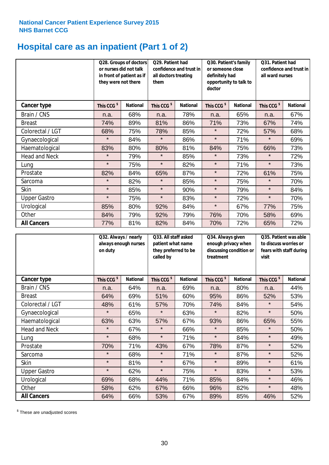# **Hospital care as an inpatient (Part 1 of 2)**

|                      | or nurses did not talk<br>they were not there | Q28. Groups of doctors<br>in front of patient as if | Q29. Patient had<br>confidence and trust in<br>all doctors treating<br>them |                 | Q30. Patient's family<br>or someone close<br>definitely had<br>opportunity to talk to<br>doctor |                 | Q31. Patient had<br>confidence and trust in<br>all ward nurses |                 |
|----------------------|-----------------------------------------------|-----------------------------------------------------|-----------------------------------------------------------------------------|-----------------|-------------------------------------------------------------------------------------------------|-----------------|----------------------------------------------------------------|-----------------|
| Cancer type          | This CCG <sup>\$</sup>                        | <b>National</b>                                     | This CCG <sup>\$</sup>                                                      | <b>National</b> | This CCG <sup>\$</sup>                                                                          | <b>National</b> | This CCG <sup>\$</sup>                                         | <b>National</b> |
| Brain / CNS          | n.a.                                          | 68%                                                 | n.a.                                                                        | 78%             | n.a.                                                                                            | 65%             | n.a.                                                           | 67%             |
| <b>Breast</b>        | 74%                                           | 89%                                                 | 81%                                                                         | 86%             | 71%                                                                                             | 73%             | 67%                                                            | 74%             |
| Colorectal / LGT     | 68%                                           | 75%                                                 | 78%                                                                         | 85%             | $\star$                                                                                         | 72%             | 57%                                                            | 68%             |
| Gynaecological       | $\star$                                       | 84%                                                 | $\star$                                                                     | 86%             | $\star$                                                                                         | 71%             | $\star$                                                        | 69%             |
| Haematological       | 83%                                           | 80%                                                 | 80%                                                                         | 81%             | 84%                                                                                             | 75%             | 66%                                                            | 73%             |
| <b>Head and Neck</b> | $\star$                                       | 79%                                                 | $\star$                                                                     | 85%             | $\star$                                                                                         | 73%             | $\star$                                                        | 72%             |
| Lung                 | $\star$                                       | 75%                                                 | $\star$                                                                     | 82%             | $\star$                                                                                         | 71%             | $\star$                                                        | 73%             |
| Prostate             | 82%                                           | 84%                                                 | 65%                                                                         | 87%             | $\star$                                                                                         | 72%             | 61%                                                            | 75%             |
| Sarcoma              | $\star$                                       | 82%                                                 | $\star$                                                                     | 85%             | $\star$                                                                                         | 75%             | $\star$                                                        | 70%             |
| Skin                 | $\star$                                       | 85%                                                 | $\star$                                                                     | 90%             | $\star$                                                                                         | 79%             | $\star$                                                        | 84%             |
| <b>Upper Gastro</b>  | $\star$                                       | 75%                                                 | $\star$                                                                     | 83%             | $\star$                                                                                         | 72%             | $\star$                                                        | 70%             |
| Urological           | 85%                                           | 80%                                                 | 92%                                                                         | 84%             | $\star$                                                                                         | 67%             | 77%                                                            | 75%             |
| Other                | 84%                                           | 79%                                                 | 92%                                                                         | 79%             | 76%                                                                                             | 70%             | 58%                                                            | 69%             |
| <b>All Cancers</b>   | 77%                                           | 81%                                                 | 82%                                                                         | 84%             | 70%                                                                                             | 72%             | 65%                                                            | 72%             |

|                      | Q32. Always / nearly<br>on duty | always enough nurses | Q33. All staff asked<br>patient what name<br>they preferred to be<br>called by |                 | Q34. Always given<br>enough privacy when<br>discussing condition or<br>treatment |                 | Q35. Patient was able<br>to discuss worries or<br>fears with staff during<br>visit |                 |
|----------------------|---------------------------------|----------------------|--------------------------------------------------------------------------------|-----------------|----------------------------------------------------------------------------------|-----------------|------------------------------------------------------------------------------------|-----------------|
| Cancer type          | This CCG <sup>\$</sup>          | <b>National</b>      | This CCG <sup>\$</sup>                                                         | <b>National</b> | This CCG <sup>\$</sup>                                                           | <b>National</b> | This CCG <sup>\$</sup>                                                             | <b>National</b> |
| Brain / CNS          | n.a.                            | 64%                  | n.a.                                                                           | 69%             | n.a.                                                                             | 80%             | n.a.                                                                               | 44%             |
| <b>Breast</b>        | 64%                             | 69%                  | 51%                                                                            | 60%             | 95%                                                                              | 86%             | 52%                                                                                | 53%             |
| Colorectal / LGT     | 48%                             | 61%                  | 57%                                                                            | 70%             | 74%                                                                              | 84%             | $\star$                                                                            | 54%             |
| Gynaecological       | $\star$                         | 65%                  | $\star$                                                                        | 63%             | $\star$                                                                          | 82%             | $\star$                                                                            | 50%             |
| Haematological       | 63%                             | 63%                  | 57%                                                                            | 67%             | 93%                                                                              | 86%             | 65%                                                                                | 55%             |
| <b>Head and Neck</b> | $\star$                         | 67%                  | $\star$                                                                        | 66%             | $\star$                                                                          | 85%             | $\star$                                                                            | 50%             |
| Lung                 | $\star$                         | 68%                  | $\star$                                                                        | 71%             | $\star$                                                                          | 84%             | $\star$                                                                            | 49%             |
| Prostate             | 70%                             | 71%                  | 43%                                                                            | 67%             | 78%                                                                              | 87%             | $\star$                                                                            | 52%             |
| Sarcoma              | $\star$                         | 68%                  | $\star$                                                                        | 71%             | $\star$                                                                          | 87%             | $\star$                                                                            | 52%             |
| Skin                 | $\star$                         | 81%                  | $\star$                                                                        | 67%             | $\star$                                                                          | 89%             | $\star$                                                                            | 61%             |
| <b>Upper Gastro</b>  | $\star$                         | 62%                  | $\star$                                                                        | 75%             | $\star$                                                                          | 83%             | $\star$                                                                            | 53%             |
| Urological           | 69%                             | 68%                  | 44%                                                                            | 71%             | 85%                                                                              | 84%             | $\star$                                                                            | 46%             |
| Other                | 58%                             | 62%                  | 67%                                                                            | 66%             | 96%                                                                              | 82%             | $\star$                                                                            | 48%             |
| <b>All Cancers</b>   | 64%                             | 66%                  | 53%                                                                            | 67%             | 89%                                                                              | 85%             | 46%                                                                                | 52%             |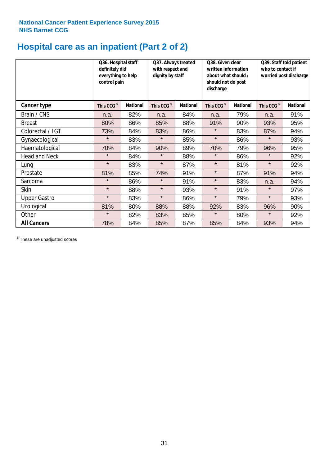# **Hospital care as an inpatient (Part 2 of 2)**

|                      | Q36. Hospital staff<br>definitely did<br>everything to help<br>control pain |                 | Q37. Always treated<br>with respect and<br>dignity by staff |                 | Q38. Given clear<br>written information<br>about what should /<br>should not do post<br>discharge |                 | Q39. Staff told patient<br>who to contact if<br>worried post discharge |                 |  |
|----------------------|-----------------------------------------------------------------------------|-----------------|-------------------------------------------------------------|-----------------|---------------------------------------------------------------------------------------------------|-----------------|------------------------------------------------------------------------|-----------------|--|
| Cancer type          | This CCG <sup>\$</sup>                                                      | <b>National</b> | This CCG <sup>\$</sup>                                      | <b>National</b> | This CCG <sup>\$</sup>                                                                            | <b>National</b> | This CCG <sup>\$</sup>                                                 | <b>National</b> |  |
| Brain / CNS          | n.a.                                                                        | 82%             | n.a.                                                        | 84%             | n.a.                                                                                              | 79%             | n.a.                                                                   | 91%             |  |
| <b>Breast</b>        | 80%                                                                         | 86%             | 85%                                                         | 88%             | 91%                                                                                               | 90%             | 93%                                                                    | 95%             |  |
| Colorectal / LGT     | 73%                                                                         | 84%             | 83%                                                         | 86%             | $\star$                                                                                           | 83%             | 87%                                                                    | 94%             |  |
| Gynaecological       | $\star$                                                                     | 83%             | $\star$                                                     | 85%             | $\star$                                                                                           | 86%             | $\star$                                                                | 93%             |  |
| Haematological       | 70%                                                                         | 84%             | 90%                                                         | 89%             | 70%                                                                                               | 79%             | 96%                                                                    | 95%             |  |
| <b>Head and Neck</b> | $\star$                                                                     | 84%             | $\star$                                                     | 88%             | $\star$                                                                                           | 86%             | $\star$                                                                | 92%             |  |
| Lung                 | $\star$                                                                     | 83%             | $\star$                                                     | 87%             | $\star$                                                                                           | 81%             | $\star$                                                                | 92%             |  |
| Prostate             | 81%                                                                         | 85%             | 74%                                                         | 91%             | $\star$                                                                                           | 87%             | 91%                                                                    | 94%             |  |
| Sarcoma              | $\star$                                                                     | 86%             | $\star$                                                     | 91%             | $\star$                                                                                           | 83%             | n.a.                                                                   | 94%             |  |
| Skin                 | $\star$                                                                     | 88%             | $\star$                                                     | 93%             | $\star$                                                                                           | 91%             | $\star$                                                                | 97%             |  |
| <b>Upper Gastro</b>  | $\star$                                                                     | 83%             | $\star$                                                     | 86%             | $\star$                                                                                           | 79%             | $\star$                                                                | 93%             |  |
| Urological           | 81%                                                                         | 80%             | 88%                                                         | 88%             | 92%                                                                                               | 83%             | 96%                                                                    | 90%             |  |
| Other                | $\star$                                                                     | 82%             | 83%                                                         | 85%             | $\star$                                                                                           | 80%             | $\star$                                                                | 92%             |  |
| <b>All Cancers</b>   | 78%                                                                         | 84%             | 85%                                                         | 87%             | 85%                                                                                               | 84%             | 93%                                                                    | 94%             |  |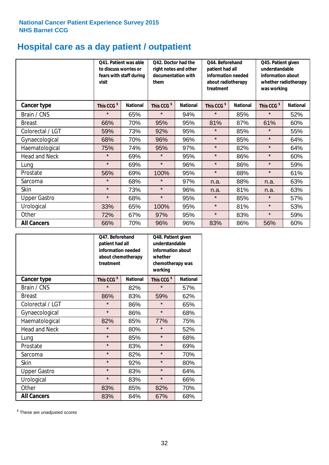# **Hospital care as a day patient / outpatient**

|                      | to discuss worries or<br>visit | Q41. Patient was able<br>fears with staff during | Q42. Doctor had the<br>right notes and other<br>documentation with<br>them |                 | Q44. Beforehand<br>patient had all<br>information needed<br>about radiotherapy<br>treatment |                 | Q45. Patient given<br>understandable<br>information about<br>whether radiotherapy<br>was working |                 |
|----------------------|--------------------------------|--------------------------------------------------|----------------------------------------------------------------------------|-----------------|---------------------------------------------------------------------------------------------|-----------------|--------------------------------------------------------------------------------------------------|-----------------|
| <b>Cancer type</b>   | This CCG <sup>\$</sup>         | <b>National</b>                                  | This CCG <sup>\$</sup>                                                     | <b>National</b> | This CCG <sup>\$</sup>                                                                      | <b>National</b> | This CCG <sup>\$</sup>                                                                           | <b>National</b> |
| Brain / CNS          | $\star$                        | 65%                                              | $\star$                                                                    | 94%             | $\star$                                                                                     | 85%             | $\star$                                                                                          | 52%             |
| <b>Breast</b>        | 66%                            | 70%                                              | 95%                                                                        | 95%             | 81%                                                                                         | 87%             | 61%                                                                                              | 60%             |
| Colorectal / LGT     | 59%                            | 73%                                              | 92%                                                                        | 95%             | $\star$                                                                                     | 85%             | $\star$                                                                                          | 55%             |
| Gynaecological       | 68%                            | 70%                                              | 96%                                                                        | 96%             | $\star$                                                                                     | 85%             | $\star$                                                                                          | 64%             |
| Haematological       | 75%                            | 74%                                              | 95%                                                                        | 97%             | $\star$                                                                                     | 82%             | $\star$                                                                                          | 64%             |
| <b>Head and Neck</b> | $\star$                        | 69%                                              | $\star$                                                                    | 95%             | $\star$                                                                                     | 86%             | $\star$                                                                                          | 60%             |
| Lung                 | $\star$                        | 69%                                              | $\star$                                                                    | 96%             | $\star$                                                                                     | 86%             | $\star$                                                                                          | 59%             |
| Prostate             | 56%                            | 69%                                              | 100%                                                                       | 95%             | $\star$                                                                                     | 88%             | $\star$                                                                                          | 61%             |
| Sarcoma              | $\star$                        | 68%                                              | $\star$                                                                    | 97%             | n.a.                                                                                        | 88%             | n.a.                                                                                             | 63%             |
| Skin                 | $\star$                        | 73%                                              | $\star$                                                                    | 96%             | n.a.                                                                                        | 81%             | n.a.                                                                                             | 63%             |
| <b>Upper Gastro</b>  | $\star$                        | 68%                                              | $\star$                                                                    | 95%             | $\star$                                                                                     | 85%             | $\star$                                                                                          | 57%             |
| Urological           | 33%                            | 65%                                              | 100%                                                                       | 95%             | $\star$                                                                                     | 81%             | $\star$                                                                                          | 53%             |
| Other                | 72%                            | 67%                                              | 97%                                                                        | 95%             | $\star$                                                                                     | 83%             | $\star$                                                                                          | 59%             |
| <b>All Cancers</b>   | 66%                            | 70%                                              | 96%                                                                        | 96%             | 83%                                                                                         | 86%             | 56%                                                                                              | 60%             |

|                      | O47. Beforehand<br>patient had all<br>information needed<br>treatment | about chemotherapy | Q48. Patient given<br>understandable<br>information about<br>whether<br>chemotherapy was<br>working |                 |
|----------------------|-----------------------------------------------------------------------|--------------------|-----------------------------------------------------------------------------------------------------|-----------------|
| <b>Cancer type</b>   | This CCG <sup>\$</sup>                                                | <b>National</b>    | This CCG <sup>\$</sup>                                                                              | <b>National</b> |
| Brain / CNS          | $\star$                                                               | 82%                | $\star$                                                                                             | 57%             |
| <b>Breast</b>        | 86%                                                                   | 83%                | 59%                                                                                                 | 62%             |
| Colorectal / LGT     | $\star$                                                               | 86%                | $\star$                                                                                             | 65%             |
| Gynaecological       | $\star$                                                               | 86%                | $\star$                                                                                             | 68%             |
| Haematological       | 82%                                                                   | 85%                |                                                                                                     | 75%             |
| <b>Head and Neck</b> | $\star$                                                               | 80%                | $\star$                                                                                             | 52%             |
| Lung                 | $\star$                                                               | 85%                | $\star$                                                                                             | 68%             |
| Prostate             | $\star$                                                               | 83%                | $\star$                                                                                             | 69%             |
| Sarcoma              | $\star$                                                               | 82%                | $\star$                                                                                             | 70%             |
| Skin                 | $\star$                                                               | 92%                | $\star$                                                                                             | 80%             |
| <b>Upper Gastro</b>  | $\star$                                                               | 83%                | $\star$                                                                                             | 64%             |
| Urological           | $\star$                                                               | 83%                | $\star$                                                                                             | 66%             |
| Other                | 83%                                                                   | 85%                | 82%                                                                                                 | 70%             |
| <b>All Cancers</b>   | 83%                                                                   | 84%                | 67%                                                                                                 | 68%             |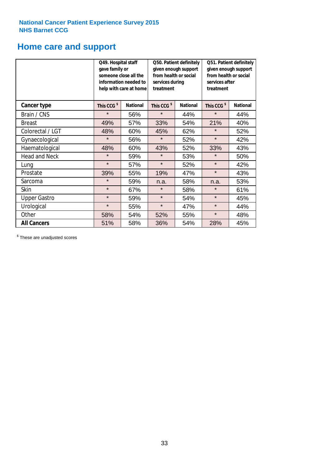# **Home care and support**

|                      | Q49. Hospital staff<br>gave family or | someone close all the<br>information needed to<br>help with care at home | Q50. Patient definitely<br>given enough support<br>from health or social<br>services during<br>treatment |                 | Q51. Patient definitely<br>given enough support<br>from health or social<br>services after<br>treatment |                 |
|----------------------|---------------------------------------|--------------------------------------------------------------------------|----------------------------------------------------------------------------------------------------------|-----------------|---------------------------------------------------------------------------------------------------------|-----------------|
| <b>Cancer type</b>   | This CCG <sup>\$</sup>                | <b>National</b>                                                          | This CCG <sup>\$</sup>                                                                                   | <b>National</b> | This CCG <sup>\$</sup>                                                                                  | <b>National</b> |
| Brain / CNS          | $\star$                               | 56%                                                                      | $\star$                                                                                                  | 44%             | $\star$                                                                                                 | 44%             |
| <b>Breast</b>        | 49%                                   | 57%                                                                      | 33%                                                                                                      | 54%             | 21%                                                                                                     | 40%             |
| Colorectal / LGT     | 48%                                   | 60%                                                                      | 45%                                                                                                      | 62%             | $\star$                                                                                                 | 52%             |
| Gynaecological       | $\star$                               | 56%                                                                      | $\star$<br>52%                                                                                           |                 | $\star$                                                                                                 | 42%             |
| Haematological       | 48%                                   | 60%                                                                      | 43%                                                                                                      | 52%             | 33%                                                                                                     | 43%             |
| <b>Head and Neck</b> | $\star$                               | 59%                                                                      | $\star$                                                                                                  | 53%             | $\star$                                                                                                 | 50%             |
| Lung                 | $\star$                               | 57%                                                                      | $\star$                                                                                                  | 52%             | $\star$                                                                                                 | 42%             |
| Prostate             | 39%                                   | 55%                                                                      | 19%                                                                                                      | 47%             | $\star$                                                                                                 | 43%             |
| Sarcoma              | $\star$                               | 59%                                                                      | n.a.                                                                                                     | 58%             | n.a.                                                                                                    | 53%             |
| Skin                 | $\star$                               | 67%                                                                      | $\star$                                                                                                  | 58%             | $\star$                                                                                                 | 61%             |
| <b>Upper Gastro</b>  | $\star$                               | 59%                                                                      | $\star$                                                                                                  | 54%             | $\star$                                                                                                 | 45%             |
| Urological           | $\star$                               | 55%                                                                      | $\star$                                                                                                  | 47%             | $\star$                                                                                                 | 44%             |
| Other                | 58%                                   | 54%                                                                      | 52%                                                                                                      | 55%             | $\star$                                                                                                 | 48%             |
| <b>All Cancers</b>   | 51%                                   | 58%                                                                      | 36%                                                                                                      | 54%             | 28%                                                                                                     | 45%             |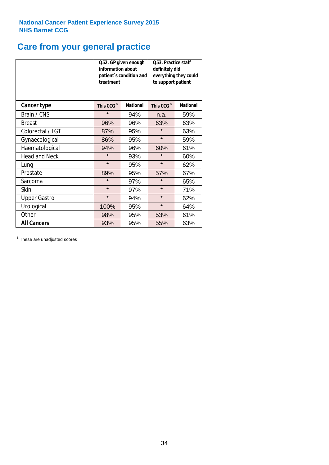# **Care from your general practice**

|                      | information about<br>treatment | Q52. GP given enough<br>patient's condition and | Q53. Practice staff<br>definitely did<br>everything they could<br>to support patient |                 |  |
|----------------------|--------------------------------|-------------------------------------------------|--------------------------------------------------------------------------------------|-----------------|--|
| <b>Cancer type</b>   | This CCG <sup>\$</sup>         | <b>National</b>                                 | This CCG <sup>\$</sup>                                                               | <b>National</b> |  |
| Brain / CNS          | $\star$                        | 94%                                             | n.a.                                                                                 | 59%             |  |
| <b>Breast</b>        | 96%                            | 96%                                             | 63%                                                                                  | 63%             |  |
| Colorectal / LGT     | 87%                            | 95%                                             | $\star$                                                                              | 63%             |  |
| Gynaecological       | 86%<br>95%                     |                                                 | $\star$                                                                              | 59%             |  |
| Haematological       | 94%                            | 96%                                             | 60%                                                                                  | 61%             |  |
| <b>Head and Neck</b> | $\star$                        | 93%                                             | $\star$                                                                              | 60%             |  |
| Lung                 | $\star$                        | 95%                                             | $\star$                                                                              | 62%             |  |
| Prostate             | 89%                            | 95%                                             | 57%                                                                                  | 67%             |  |
| Sarcoma              | $\star$                        | 97%                                             | $\star$                                                                              | 65%             |  |
| <b>Skin</b>          | $\star$                        | 97%                                             | $\star$                                                                              | 71%             |  |
| <b>Upper Gastro</b>  | $\star$                        | 94%                                             | $\star$                                                                              | 62%             |  |
| Urological           | 100%                           | 95%                                             | $\star$                                                                              | 64%             |  |
| Other                | 98%                            | 95%                                             | 53%                                                                                  | 61%             |  |
| <b>All Cancers</b>   | 93%                            | 95%                                             | 55%                                                                                  | 63%             |  |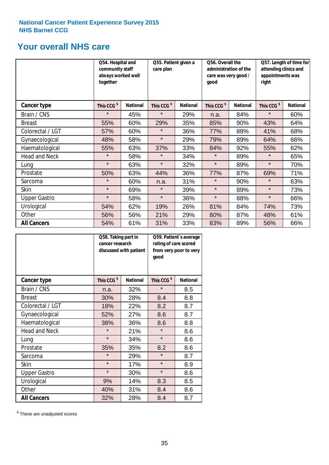# **Your overall NHS care**

|                      | Q54. Hospital and<br>community staff<br>always worked well<br>together |                 | Q55. Patient given a<br>care plan |                 | Q56. Overall the<br>administration of the<br>care was very good /<br>qood |                 | Q57. Length of time for<br>attending clinics and<br>appointments was<br>right |                 |
|----------------------|------------------------------------------------------------------------|-----------------|-----------------------------------|-----------------|---------------------------------------------------------------------------|-----------------|-------------------------------------------------------------------------------|-----------------|
| Cancer type          | This CCG <sup>\$</sup>                                                 | <b>National</b> | This CCG <sup>\$</sup>            | <b>National</b> | This CCG <sup>\$</sup>                                                    | <b>National</b> | This CCG <sup>\$</sup>                                                        | <b>National</b> |
| Brain / CNS          | $\star$                                                                | 45%             | $\star$                           | 29%             | n.a.                                                                      | 84%             | $\star$                                                                       | 60%             |
| <b>Breast</b>        | 55%                                                                    | 60%             | 29%                               | 35%             | 85%                                                                       | 90%             | 43%                                                                           | 64%             |
| Colorectal / LGT     | 57%                                                                    | 60%             | $\star$                           | 36%             | 77%                                                                       | 88%             | 41%                                                                           | 68%             |
| Gynaecological       | 48%                                                                    | 58%             | $\star$                           | 29%             | 79%                                                                       | 89%             | 64%                                                                           | 66%             |
| Haematological       | 55%                                                                    | 63%             | 37%                               | 33%             | 84%                                                                       | 92%             | 55%                                                                           | 62%             |
| <b>Head and Neck</b> | $\star$                                                                | 58%             | $\star$                           | 34%             | $\star$                                                                   | 89%             | $\star$                                                                       | 65%             |
| Lung                 | $\star$                                                                | 63%             | $\star$                           | 32%             | $\star$                                                                   | 89%             | $\star$                                                                       | 70%             |
| Prostate             | 50%                                                                    | 63%             | 44%                               | 36%             | 77%                                                                       | 87%             | 69%                                                                           | 71%             |
| Sarcoma              | $\star$                                                                | 60%             | n.a.                              | 31%             | $\star$                                                                   | 90%             | $\star$                                                                       | 63%             |
| Skin                 | $\star$                                                                | 69%             | $\star$                           | 39%             | $\star$                                                                   | 89%             | $\star$                                                                       | 73%             |
| <b>Upper Gastro</b>  | $\star$                                                                | 58%             | $\star$                           | 36%             | $\star$                                                                   | 88%             | $\star$                                                                       | 66%             |
| Urological           | 54%                                                                    | 62%             | 19%                               | 26%             | 81%                                                                       | 84%             | 74%                                                                           | 73%             |
| Other                | 56%                                                                    | 56%             | 21%                               | 29%             | 80%                                                                       | 87%             | 48%                                                                           | 61%             |
| <b>All Cancers</b>   | 54%                                                                    | 61%             | 31%                               | 33%             | 83%                                                                       | 89%             | 56%                                                                           | 66%             |

|                      | Q58. Taking part in<br>cancer research | discussed with patient | Q59. Patient's average<br>rating of care scored<br>from very poor to very<br>good |                 |  |
|----------------------|----------------------------------------|------------------------|-----------------------------------------------------------------------------------|-----------------|--|
| <b>Cancer type</b>   | This CCG <sup>\$</sup>                 | <b>National</b>        | This CCG <sup>\$</sup>                                                            | <b>National</b> |  |
| Brain / CNS          | n.a.                                   | 32%                    | $\star$                                                                           | 8.5             |  |
| <b>Breast</b>        | 30%                                    | 28%                    | 8.4                                                                               | 8.8             |  |
| Colorectal / LGT     | 18%                                    | 22%                    | 8.2                                                                               | 8.7             |  |
| Gynaecological       | 27%<br>52%                             |                        | 8.6                                                                               | 8.7             |  |
| Haematological       | 38%                                    | 36%                    |                                                                                   | 8.8             |  |
| <b>Head and Neck</b> | $\star$                                | 21%                    | $\star$                                                                           | 8.6             |  |
| Lung                 | $\star$                                | 34%                    | $\star$                                                                           | 8.6             |  |
| Prostate             | 35%                                    | 35%                    | 8.2                                                                               | 8.6             |  |
| Sarcoma              | $\star$                                | 29%                    | $\star$                                                                           | 8.7             |  |
| <b>Skin</b>          | $\star$                                | 17%                    | $\star$                                                                           | 8.9             |  |
| <b>Upper Gastro</b>  | $\star$                                | 30%                    | $\star$                                                                           | 8.6             |  |
| Urological           | 9%                                     | 14%                    | 8.3                                                                               | 8.5             |  |
| Other                | 40%                                    | 31%                    | 8.4                                                                               | 8.6             |  |
| <b>All Cancers</b>   | 32%                                    | 28%                    | 8.4                                                                               | 8.7             |  |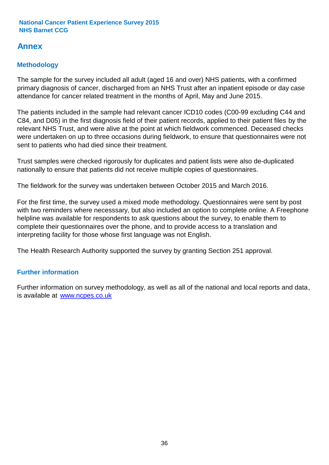# **Annex**

# **Methodology**

The sample for the survey included all adult (aged 16 and over) NHS patients, with a confirmed primary diagnosis of cancer, discharged from an NHS Trust after an inpatient episode or day case attendance for cancer related treatment in the months of April, May and June 2015.

The patients included in the sample had relevant cancer ICD10 codes (C00-99 excluding C44 and C84, and D05) in the first diagnosis field of their patient records, applied to their patient files by the relevant NHS Trust, and were alive at the point at which fieldwork commenced. Deceased checks were undertaken on up to three occasions during fieldwork, to ensure that questionnaires were not sent to patients who had died since their treatment.

Trust samples were checked rigorously for duplicates and patient lists were also de-duplicated nationally to ensure that patients did not receive multiple copies of questionnaires.

The fieldwork for the survey was undertaken between October 2015 and March 2016.

For the first time, the survey used a mixed mode methodology. Questionnaires were sent by post with two reminders where necesssary, but also included an option to complete online. A Freephone helpline was available for respondents to ask questions about the survey, to enable them to complete their questionnaires over the phone, and to provide access to a translation and interpreting facility for those whose first language was not English.

The Health Research Authority supported the survey by granting Section 251 approval.

# **Further information**

Further information on survey methodology, as well as all of the national and local reports and data, is available at www.ncpes.co.uk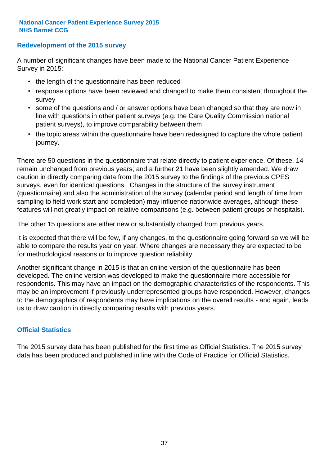### **Redevelopment of the 2015 survey**

A number of significant changes have been made to the National Cancer Patient Experience Survey in 2015:

- the length of the questionnaire has been reduced
- response options have been reviewed and changed to make them consistent throughout the survey
- some of the questions and / or answer options have been changed so that they are now in line with questions in other patient surveys (e.g. the Care Quality Commission national patient surveys), to improve comparability between them
- the topic areas within the questionnaire have been redesigned to capture the whole patient journey.

There are 50 questions in the questionnaire that relate directly to patient experience. Of these, 14 remain unchanged from previous years; and a further 21 have been slightly amended. We draw caution in directly comparing data from the 2015 survey to the findings of the previous CPES surveys, even for identical questions. Changes in the structure of the survey instrument (questionnaire) and also the administration of the survey (calendar period and length of time from sampling to field work start and completion) may influence nationwide averages, although these features will not greatly impact on relative comparisons (e.g. between patient groups or hospitals).

The other 15 questions are either new or substantially changed from previous years.

It is expected that there will be few, if any changes, to the questionnaire going forward so we will be able to compare the results year on year. Where changes are necessary they are expected to be for methodological reasons or to improve question reliability.

Another significant change in 2015 is that an online version of the questionnaire has been developed. The online version was developed to make the questionnaire more accessible for respondents. This may have an impact on the demographic characteristics of the respondents. This may be an improvement if previously underrepresented groups have responded. However, changes to the demographics of respondents may have implications on the overall results - and again, leads us to draw caution in directly comparing results with previous years.

### **Official Statistics**

The 2015 survey data has been published for the first time as Official Statistics. The 2015 survey data has been produced and published in line with the Code of Practice for Official Statistics.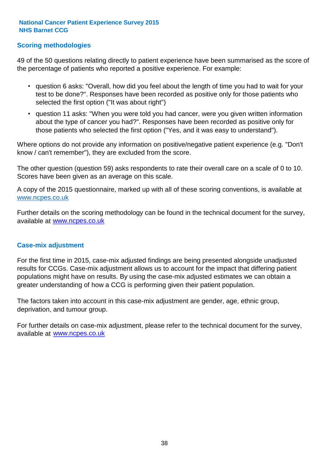### **Scoring methodologies**

49 of the 50 questions relating directly to patient experience have been summarised as the score of the percentage of patients who reported a positive experience. For example:

- question 6 asks: "Overall, how did you feel about the length of time you had to wait for your test to be done?". Responses have been recorded as positive only for those patients who selected the first option ("It was about right")
- question 11 asks: "When you were told you had cancer, were you given written information about the type of cancer you had?". Responses have been recorded as positive only for those patients who selected the first option ("Yes, and it was easy to understand").

Where options do not provide any information on positive/negative patient experience (e.g. "Don't know / can't remember"), they are excluded from the score.

The other question (question 59) asks respondents to rate their overall care on a scale of 0 to 10. Scores have been given as an average on this scale.

A copy of the 2015 questionnaire, marked up with all of these scoring conventions, is available at www.ncpes.co.uk

Further details on the scoring methodology can be found in the technical document for the survey, available at <u>www.ncpes.co.uk</u>

#### **Case-mix adjustment**

For the first time in 2015, case-mix adjusted findings are being presented alongside unadjusted results for CCGs. Case-mix adjustment allows us to account for the impact that differing patient populations might have on results. By using the case-mix adjusted estimates we can obtain a greater understanding of how a CCG is performing given their patient population.

The factors taken into account in this case-mix adjustment are gender, age, ethnic group, deprivation, and tumour group.

For further details on case-mix adjustment, please refer to the technical document for the survey, available at www.ncpes.co.uk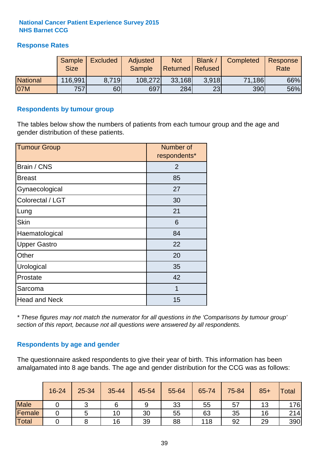### **Response Rates**

|                 | Sample<br><b>Size</b> | <b>Excluded</b> | Adjusted<br><b>Sample</b> | <b>Not</b><br><b>Returned Refused</b> | Blank / | Completed | Response<br>Rate |
|-----------------|-----------------------|-----------------|---------------------------|---------------------------------------|---------|-----------|------------------|
| <b>National</b> | 116,991               | 8.719           | 108,272                   | 33,168                                | 3.918   | 71,186    | 66%              |
| 07M             | 757                   | 60              | 697                       | 284                                   | 23      | 390       | 56%              |

#### **Respondents by tumour group**

The tables below show the numbers of patients from each tumour group and the age and gender distribution of these patients.

| <b>Tumour Group</b>  | Number of<br>respondents* |  |  |
|----------------------|---------------------------|--|--|
| Brain / CNS          | $\overline{2}$            |  |  |
| <b>Breast</b>        | 85                        |  |  |
| Gynaecological       | 27                        |  |  |
| Colorectal / LGT     | 30                        |  |  |
| Lung                 | 21                        |  |  |
| <b>Skin</b>          | 6                         |  |  |
| Haematological       | 84                        |  |  |
| <b>Upper Gastro</b>  | 22                        |  |  |
| Other                | 20                        |  |  |
| Urological           | 35                        |  |  |
| Prostate             | 42                        |  |  |
| Sarcoma              | 1                         |  |  |
| <b>Head and Neck</b> | 15                        |  |  |

*\* These figures may not match the numerator for all questions in the 'Comparisons by tumour group' section of this report, because not all questions were answered by all respondents.*

### **Respondents by age and gender**

The questionnaire asked respondents to give their year of birth. This information has been amalgamated into 8 age bands. The age and gender distribution for the CCG was as follows:

|             | 16-24 | $25 - 34$ | 35-44 | 45-54 | 55-64 | 65-74 | 75-84 | $85+$ | <b>Total</b> |
|-------------|-------|-----------|-------|-------|-------|-------|-------|-------|--------------|
| <b>Male</b> |       | ັ         |       | 9     | 33    | 55    | 57    | 13    | 176          |
| Female      |       | ς<br>ັ    | 10    | 30    | 55    | 63    | 35    | 16    | 214          |
| Total       |       |           | 16    | 39    | 88    | 118   | 92    | 29    | 390          |